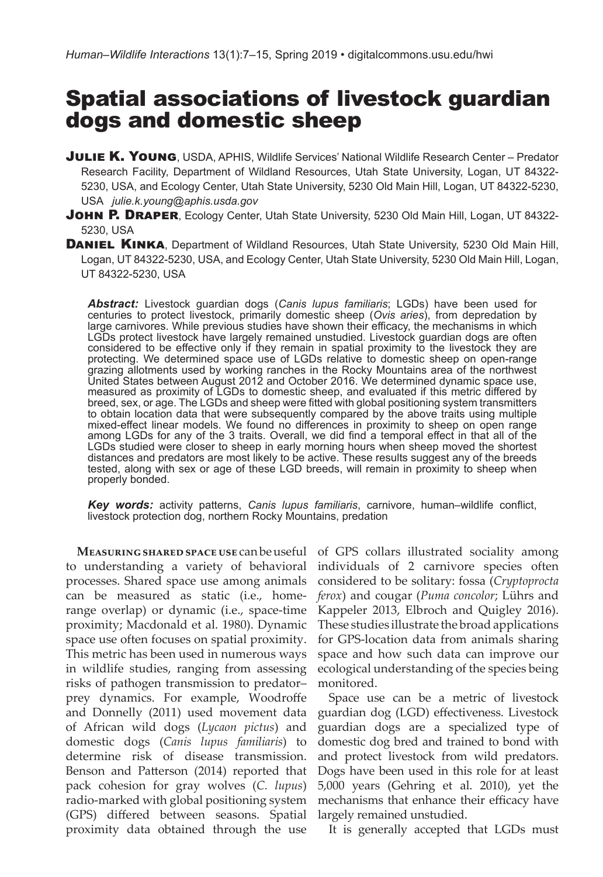# Spatial associations of livestock guardian dogs and domestic sheep

- **JULIE K. YOUNG**, USDA, APHIS, Wildlife Services' National Wildlife Research Center Predator Research Facility, Department of Wildland Resources, Utah State University, Logan, UT 84322- 5230, USA, and Ecology Center, Utah State University, 5230 Old Main Hill, Logan, UT 84322-5230, USA *julie.k.young@aphis.usda.gov*
- JOHN P. DRAPER, Ecology Center, Utah State University, 5230 Old Main Hill, Logan, UT 84322-5230, USA
- DANIEL KINKA, Department of Wildland Resources, Utah State University, 5230 Old Main Hill, Logan, UT 84322-5230, USA, and Ecology Center, Utah State University, 5230 Old Main Hill, Logan, UT 84322-5230, USA

*Abstract:* Livestock guardian dogs (*Canis lupus familiaris*; LGDs) have been used for centuries to protect livestock, primarily domestic sheep (*Ovis aries*), from depredation by large carnivores. While previous studies have shown their efficacy, the mechanisms in which LGDs protect livestock have largely remained unstudied. Livestock guardian dogs are often considered to be effective only if they remain in spatial proximity to the livestock they are protecting. We determined space use of LGDs relative to domestic sheep on open-range grazing allotments used by working ranches in the Rocky Mountains area of the northwest United States between August 2012 and October 2016. We determined dynamic space use, measured as proximity of LGDs to domestic sheep, and evaluated if this metric differed by breed, sex, or age. The LGDs and sheep were fitted with global positioning system transmitters to obtain location data that were subsequently compared by the above traits using multiple mixed-effect linear models. We found no differences in proximity to sheep on open range among LGDs for any of the 3 traits. Overall, we did find a temporal effect in that all of the LGDs studied were closer to sheep in early morning hours when sheep moved the shortest distances and predators are most likely to be active. These results suggest any of the breeds tested, along with sex or age of these LGD breeds, will remain in proximity to sheep when properly bonded.

*Key words:* activity patterns, *Canis lupus familiaris*, carnivore, human–wildlife conflict, livestock protection dog, northern Rocky Mountains, predation

to understanding a variety of behavioral processes. Shared space use among animals can be measured as static (i.e., homerange overlap) or dynamic (i.e., space-time Kappeler 2013, Elbroch and Quigley 2016). proximity; Macdonald et al. 1980). Dynamic These studies illustrate the broad applications space use often focuses on spatial proximity. This metric has been used in numerous ways in wildlife studies, ranging from assessing risks of pathogen transmission to predator– prey dynamics. For example, Woodroffe and Donnelly (2011) used movement data guardian dog (LGD) effectiveness. Livestock of African wild dogs (*Lycaon pictus*) and domestic dogs (*Canis lupus familiaris*) to determine risk of disease transmission. Benson and Patterson (2014) reported that pack cohesion for gray wolves (*C. lupus*) radio-marked with global positioning system (GPS) differed between seasons. Spatial proximity data obtained through the use

**Measuring shared space use** can be useful of GPS collars illustrated sociality among individuals of 2 carnivore species often considered to be solitary: fossa (*Cryptoprocta ferox*) and cougar (*Puma concolor*; Lührs and for GPS-location data from animals sharing space and how such data can improve our ecological understanding of the species being monitored.

> Space use can be a metric of livestock guardian dogs are a specialized type of domestic dog bred and trained to bond with and protect livestock from wild predators. Dogs have been used in this role for at least 5,000 years (Gehring et al. 2010), yet the mechanisms that enhance their efficacy have largely remained unstudied.

It is generally accepted that LGDs must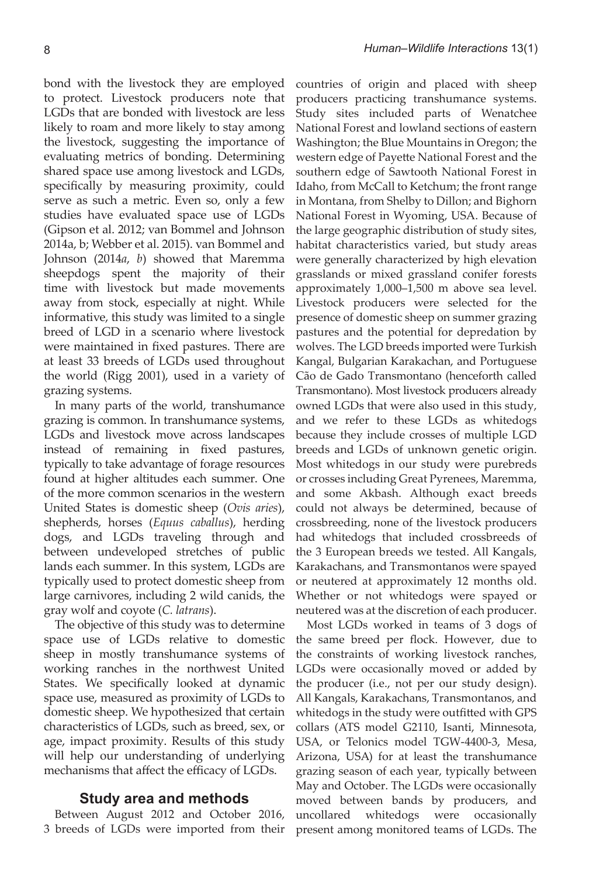bond with the livestock they are employed to protect. Livestock producers note that LGDs that are bonded with livestock are less likely to roam and more likely to stay among the livestock, suggesting the importance of evaluating metrics of bonding. Determining shared space use among livestock and LGDs, specifically by measuring proximity, could serve as such a metric. Even so, only a few studies have evaluated space use of LGDs (Gipson et al. 2012; van Bommel and Johnson 2014a, b; Webber et al. 2015). van Bommel and Johnson (2014*a*, *b*) showed that Maremma sheepdogs spent the majority of their time with livestock but made movements away from stock, especially at night. While informative, this study was limited to a single breed of LGD in a scenario where livestock were maintained in fixed pastures. There are at least 33 breeds of LGDs used throughout the world (Rigg 2001), used in a variety of grazing systems.

In many parts of the world, transhumance grazing is common. In transhumance systems, LGDs and livestock move across landscapes instead of remaining in fixed pastures, typically to take advantage of forage resources found at higher altitudes each summer. One of the more common scenarios in the western United States is domestic sheep (*Ovis aries*), shepherds, horses (*Equus caballus*), herding dogs, and LGDs traveling through and between undeveloped stretches of public lands each summer. In this system, LGDs are typically used to protect domestic sheep from large carnivores, including 2 wild canids, the gray wolf and coyote (*C. latrans*).

The objective of this study was to determine space use of LGDs relative to domestic sheep in mostly transhumance systems of working ranches in the northwest United States. We specifically looked at dynamic space use, measured as proximity of LGDs to domestic sheep. We hypothesized that certain characteristics of LGDs, such as breed, sex, or age, impact proximity. Results of this study will help our understanding of underlying mechanisms that affect the efficacy of LGDs.

## **Study area and methods**

Between August 2012 and October 2016, 3 breeds of LGDs were imported from their countries of origin and placed with sheep producers practicing transhumance systems. Study sites included parts of Wenatchee National Forest and lowland sections of eastern Washington; the Blue Mountains in Oregon; the western edge of Payette National Forest and the southern edge of Sawtooth National Forest in Idaho, from McCall to Ketchum; the front range in Montana, from Shelby to Dillon; and Bighorn National Forest in Wyoming, USA. Because of the large geographic distribution of study sites, habitat characteristics varied, but study areas were generally characterized by high elevation grasslands or mixed grassland conifer forests approximately 1,000–1,500 m above sea level. Livestock producers were selected for the presence of domestic sheep on summer grazing pastures and the potential for depredation by wolves. The LGD breeds imported were Turkish Kangal, Bulgarian Karakachan, and Portuguese Cão de Gado Transmontano (henceforth called Transmontano). Most livestock producers already owned LGDs that were also used in this study, and we refer to these LGDs as whitedogs because they include crosses of multiple LGD breeds and LGDs of unknown genetic origin. Most whitedogs in our study were purebreds or crosses including Great Pyrenees, Maremma, and some Akbash. Although exact breeds could not always be determined, because of crossbreeding, none of the livestock producers had whitedogs that included crossbreeds of the 3 European breeds we tested. All Kangals, Karakachans, and Transmontanos were spayed or neutered at approximately 12 months old. Whether or not whitedogs were spayed or neutered was at the discretion of each producer.

Most LGDs worked in teams of 3 dogs of the same breed per flock. However, due to the constraints of working livestock ranches, LGDs were occasionally moved or added by the producer (i.e., not per our study design). All Kangals, Karakachans, Transmontanos, and whitedogs in the study were outfitted with GPS collars (ATS model G2110, Isanti, Minnesota, USA, or Telonics model TGW-4400-3, Mesa, Arizona, USA) for at least the transhumance grazing season of each year, typically between May and October. The LGDs were occasionally moved between bands by producers, and uncollared whitedogs were occasionally present among monitored teams of LGDs. The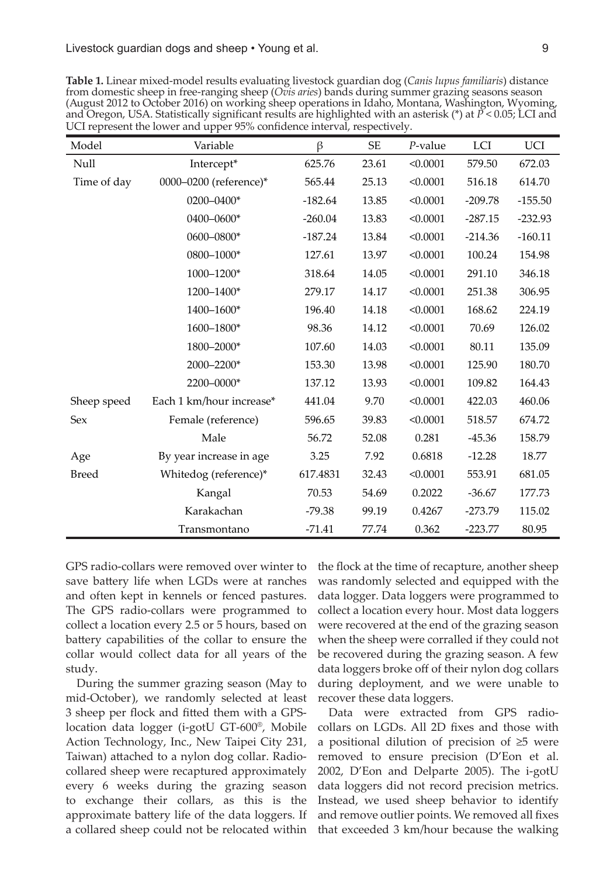Livestock guardian dogs and sheep • Young et al. 9

| Model        | Variable                 | $\beta$   | SE    | $P$ -value | LCI       | <b>UCI</b> |
|--------------|--------------------------|-----------|-------|------------|-----------|------------|
| Null         | Intercept*               | 625.76    | 23.61 | < 0.0001   | 579.50    | 672.03     |
| Time of day  | 0000-0200 (reference)*   | 565.44    | 25.13 | < 0.0001   | 516.18    | 614.70     |
|              | 0200-0400*               | $-182.64$ | 13.85 | < 0.0001   | $-209.78$ | $-155.50$  |
|              | 0400-0600*               | $-260.04$ | 13.83 | < 0.0001   | $-287.15$ | $-232.93$  |
|              | 0600-0800*               | $-187.24$ | 13.84 | < 0.0001   | $-214.36$ | $-160.11$  |
|              | 0800-1000*               | 127.61    | 13.97 | < 0.0001   | 100.24    | 154.98     |
|              | 1000-1200*               | 318.64    | 14.05 | < 0.0001   | 291.10    | 346.18     |
|              | 1200-1400*               | 279.17    | 14.17 | < 0.0001   | 251.38    | 306.95     |
|              | 1400-1600*               | 196.40    | 14.18 | < 0.0001   | 168.62    | 224.19     |
|              | 1600-1800*               | 98.36     | 14.12 | < 0.0001   | 70.69     | 126.02     |
|              | 1800-2000*               | 107.60    | 14.03 | < 0.0001   | 80.11     | 135.09     |
|              | 2000-2200*               | 153.30    | 13.98 | < 0.0001   | 125.90    | 180.70     |
|              | 2200-0000*               | 137.12    | 13.93 | < 0.0001   | 109.82    | 164.43     |
| Sheep speed  | Each 1 km/hour increase* | 441.04    | 9.70  | < 0.0001   | 422.03    | 460.06     |
| Sex          | Female (reference)       | 596.65    | 39.83 | < 0.0001   | 518.57    | 674.72     |
|              | Male                     | 56.72     | 52.08 | 0.281      | $-45.36$  | 158.79     |
| Age          | By year increase in age  | 3.25      | 7.92  | 0.6818     | $-12.28$  | 18.77      |
| <b>Breed</b> | Whitedog (reference)*    | 617.4831  | 32.43 | < 0.0001   | 553.91    | 681.05     |
|              | Kangal                   | 70.53     | 54.69 | 0.2022     | $-36.67$  | 177.73     |
|              | Karakachan               | $-79.38$  | 99.19 | 0.4267     | $-273.79$ | 115.02     |
|              | Transmontano             | $-71.41$  | 77.74 | 0.362      | $-223.77$ | 80.95      |

**Table 1.** Linear mixed-model results evaluating livestock guardian dog (*Canis lupus familiaris*) distance from domestic sheep in free-ranging sheep (*Ovis aries*) bands during summer grazing seasons season (August 2012 to October 2016) on working sheep operations in Idaho, Montana, Washington, Wyoming, and Oregon, USA. Statistically significant results are highlighted with an asterisk (\*) at *P* < 0.05; LCI and UCI represent the lower and upper 95% confidence interval, respectively.

GPS radio-collars were removed over winter to save battery life when LGDs were at ranches and often kept in kennels or fenced pastures. The GPS radio-collars were programmed to collect a location every 2.5 or 5 hours, based on battery capabilities of the collar to ensure the collar would collect data for all years of the study.

During the summer grazing season (May to mid-October), we randomly selected at least 3 sheep per flock and fitted them with a GPSlocation data logger (i-gotU GT-600®, Mobile Action Technology, Inc., New Taipei City 231, Taiwan) attached to a nylon dog collar. Radiocollared sheep were recaptured approximately every 6 weeks during the grazing season to exchange their collars, as this is the approximate battery life of the data loggers. If a collared sheep could not be relocated within the flock at the time of recapture, another sheep was randomly selected and equipped with the data logger. Data loggers were programmed to collect a location every hour. Most data loggers were recovered at the end of the grazing season when the sheep were corralled if they could not be recovered during the grazing season. A few data loggers broke off of their nylon dog collars during deployment, and we were unable to recover these data loggers.

Data were extracted from GPS radiocollars on LGDs. All 2D fixes and those with a positional dilution of precision of ≥5 were removed to ensure precision (D'Eon et al. 2002, D'Eon and Delparte 2005). The i-gotU data loggers did not record precision metrics. Instead, we used sheep behavior to identify and remove outlier points. We removed all fixes that exceeded 3 km/hour because the walking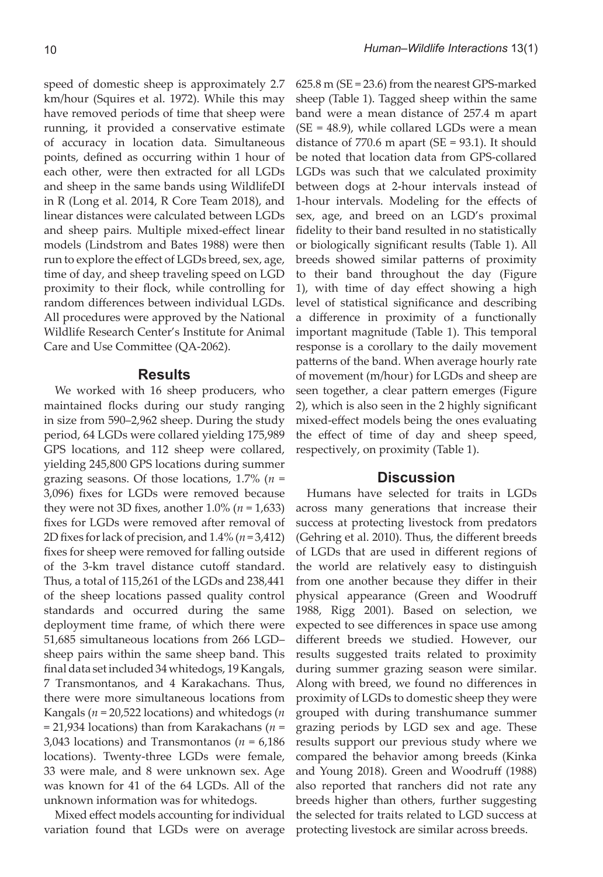speed of domestic sheep is approximately 2.7 km/hour (Squires et al. 1972). While this may have removed periods of time that sheep were running, it provided a conservative estimate of accuracy in location data. Simultaneous points, defined as occurring within 1 hour of each other, were then extracted for all LGDs and sheep in the same bands using WildlifeDI in R (Long et al. 2014, R Core Team 2018), and linear distances were calculated between LGDs and sheep pairs. Multiple mixed-effect linear models (Lindstrom and Bates 1988) were then run to explore the effect of LGDs breed, sex, age, time of day, and sheep traveling speed on LGD proximity to their flock, while controlling for random differences between individual LGDs. All procedures were approved by the National Wildlife Research Center's Institute for Animal Care and Use Committee (QA-2062).

### **Results**

We worked with 16 sheep producers, who maintained flocks during our study ranging in size from 590–2,962 sheep. During the study period, 64 LGDs were collared yielding 175,989 GPS locations, and 112 sheep were collared, yielding 245,800 GPS locations during summer grazing seasons. Of those locations, 1.7% (*n* = 3,096) fixes for LGDs were removed because they were not 3D fixes, another 1.0% (*n* = 1,633) fixes for LGDs were removed after removal of 2D fixes for lack of precision, and 1.4% (*n* = 3,412) fixes for sheep were removed for falling outside of the 3-km travel distance cutoff standard. Thus, a total of 115,261 of the LGDs and 238,441 of the sheep locations passed quality control standards and occurred during the same deployment time frame, of which there were 51,685 simultaneous locations from 266 LGD– sheep pairs within the same sheep band. This final data set included 34 whitedogs, 19 Kangals, 7 Transmontanos, and 4 Karakachans. Thus, there were more simultaneous locations from Kangals (*n* = 20,522 locations) and whitedogs (*n*  = 21,934 locations) than from Karakachans (*n* = 3,043 locations) and Transmontanos (*n* = 6,186 locations). Twenty-three LGDs were female, 33 were male, and 8 were unknown sex. Age was known for 41 of the 64 LGDs. All of the unknown information was for whitedogs.

Mixed effect models accounting for individual variation found that LGDs were on average  $625.8$  m (SE = 23.6) from the nearest GPS-marked sheep (Table 1). Tagged sheep within the same band were a mean distance of 257.4 m apart  $(SE = 48.9)$ , while collared LGDs were a mean distance of  $770.6$  m apart (SE =  $93.1$ ). It should be noted that location data from GPS-collared LGDs was such that we calculated proximity between dogs at 2-hour intervals instead of 1-hour intervals. Modeling for the effects of sex, age, and breed on an LGD's proximal fidelity to their band resulted in no statistically or biologically significant results (Table 1). All breeds showed similar patterns of proximity to their band throughout the day (Figure 1), with time of day effect showing a high level of statistical significance and describing a difference in proximity of a functionally important magnitude (Table 1). This temporal response is a corollary to the daily movement patterns of the band. When average hourly rate of movement (m/hour) for LGDs and sheep are seen together, a clear pattern emerges (Figure 2), which is also seen in the 2 highly significant mixed-effect models being the ones evaluating the effect of time of day and sheep speed, respectively, on proximity (Table 1).

# **Discussion**

Humans have selected for traits in LGDs across many generations that increase their success at protecting livestock from predators (Gehring et al. 2010). Thus, the different breeds of LGDs that are used in different regions of the world are relatively easy to distinguish from one another because they differ in their physical appearance (Green and Woodruff 1988, Rigg 2001). Based on selection, we expected to see differences in space use among different breeds we studied. However, our results suggested traits related to proximity during summer grazing season were similar. Along with breed, we found no differences in proximity of LGDs to domestic sheep they were grouped with during transhumance summer grazing periods by LGD sex and age. These results support our previous study where we compared the behavior among breeds (Kinka and Young 2018). Green and Woodruff (1988) also reported that ranchers did not rate any breeds higher than others, further suggesting the selected for traits related to LGD success at protecting livestock are similar across breeds.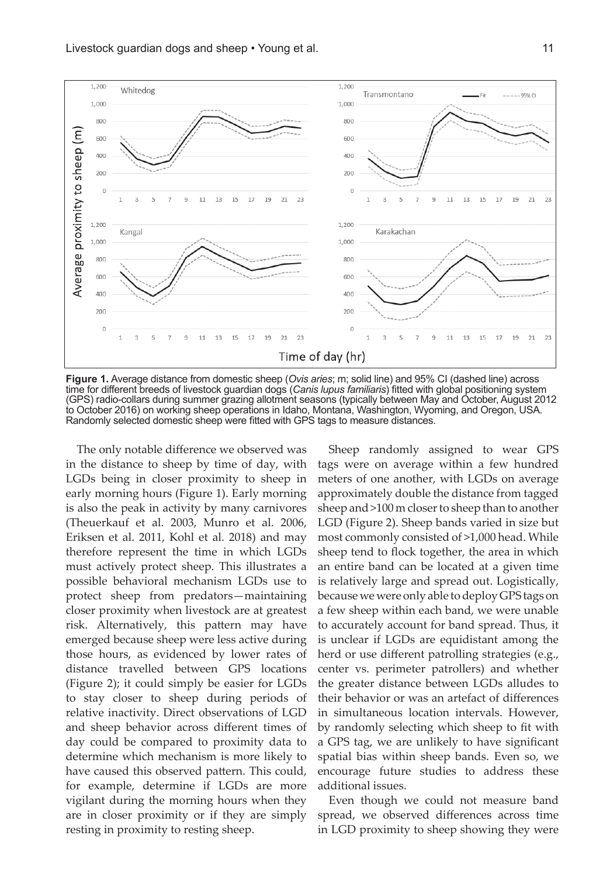

**Figure 1.** Average distance from domestic sheep (*Ovis aries*; m; solid line) and 95% CI (dashed line) across time for different breeds of livestock guardian dogs (*Canis lupus familiaris*) fitted with global positioning system (GPS) radio-collars during summer grazing allotment seasons (typically between May and October, August 2012 to October 2016) on working sheep operations in Idaho, Montana, Washington, Wyoming, and Oregon, USA. Randomly selected domestic sheep were fitted with GPS tags to measure distances.

The only notable difference we observed was in the distance to sheep by time of day, with LGDs being in closer proximity to sheep in early morning hours (Figure 1). Early morning is also the peak in activity by many carnivores (Theuerkauf et al. 2003, Munro et al. 2006, Eriksen et al. 2011, Kohl et al. 2018) and may therefore represent the time in which LGDs must actively protect sheep. This illustrates a possible behavioral mechanism LGDs use to protect sheep from predators—maintaining closer proximity when livestock are at greatest risk. Alternatively, this pattern may have emerged because sheep were less active during those hours, as evidenced by lower rates of distance travelled between GPS locations (Figure 2); it could simply be easier for LGDs to stay closer to sheep during periods of relative inactivity. Direct observations of LGD and sheep behavior across different times of day could be compared to proximity data to determine which mechanism is more likely to have caused this observed pattern. This could, for example, determine if LGDs are more vigilant during the morning hours when they are in closer proximity or if they are simply resting in proximity to resting sheep.

Sheep randomly assigned to wear GPS tags were on average within a few hundred meters of one another, with LGDs on average approximately double the distance from tagged sheep and >100 m closer to sheep than to another LGD (Figure 2). Sheep bands varied in size but most commonly consisted of >1,000 head. While sheep tend to flock together, the area in which an entire band can be located at a given time is relatively large and spread out. Logistically, because we were only able to deploy GPS tags on a few sheep within each band, we were unable to accurately account for band spread. Thus, it is unclear if LGDs are equidistant among the herd or use different patrolling strategies (e.g., center vs. perimeter patrollers) and whether the greater distance between LGDs alludes to their behavior or was an artefact of differences in simultaneous location intervals. However, by randomly selecting which sheep to fit with a GPS tag, we are unlikely to have significant spatial bias within sheep bands. Even so, we encourage future studies to address these additional issues.

Even though we could not measure band spread, we observed differences across time in LGD proximity to sheep showing they were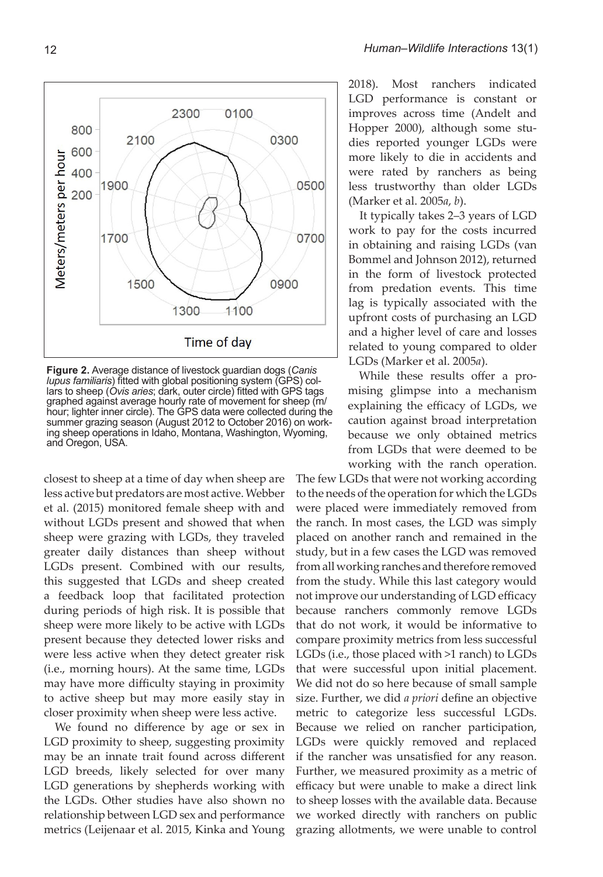

**Figure 2.** Average distance of livestock guardian dogs (*Canis lupus familiaris*) fitted with global positioning system (GPS) collars to sheep (*Ovis aries*; dark, outer circle) fitted with GPS tags graphed against average hourly rate of movement for sheep (m/ hour; lighter inner circle). The GPS data were collected during the summer grazing season (August 2012 to October 2016) on working sheep operations in Idaho, Montana, Washington, Wyoming, and Oregon, USA.

closest to sheep at a time of day when sheep are less active but predators are most active. Webber et al. (2015) monitored female sheep with and without LGDs present and showed that when sheep were grazing with LGDs, they traveled greater daily distances than sheep without LGDs present. Combined with our results, this suggested that LGDs and sheep created a feedback loop that facilitated protection during periods of high risk. It is possible that sheep were more likely to be active with LGDs present because they detected lower risks and were less active when they detect greater risk (i.e., morning hours). At the same time, LGDs may have more difficulty staying in proximity to active sheep but may more easily stay in closer proximity when sheep were less active.

We found no difference by age or sex in LGD proximity to sheep, suggesting proximity may be an innate trait found across different LGD breeds, likely selected for over many LGD generations by shepherds working with the LGDs. Other studies have also shown no relationship between LGD sex and performance metrics (Leijenaar et al. 2015, Kinka and Young 2018). Most ranchers indicated LGD performance is constant or improves across time (Andelt and Hopper 2000), although some studies reported younger LGDs were more likely to die in accidents and were rated by ranchers as being less trustworthy than older LGDs (Marker et al. 2005*a*, *b*).

It typically takes 2–3 years of LGD work to pay for the costs incurred in obtaining and raising LGDs (van Bommel and Johnson 2012), returned in the form of livestock protected from predation events. This time lag is typically associated with the upfront costs of purchasing an LGD and a higher level of care and losses related to young compared to older LGDs (Marker et al. 2005*a*).

While these results offer a promising glimpse into a mechanism explaining the efficacy of LGDs, we caution against broad interpretation because we only obtained metrics from LGDs that were deemed to be working with the ranch operation.

The few LGDs that were not working according to the needs of the operation for which the LGDs were placed were immediately removed from the ranch. In most cases, the LGD was simply placed on another ranch and remained in the study, but in a few cases the LGD was removed from all working ranches and therefore removed from the study. While this last category would not improve our understanding of LGD efficacy because ranchers commonly remove LGDs that do not work, it would be informative to compare proximity metrics from less successful LGDs (i.e., those placed with >1 ranch) to LGDs that were successful upon initial placement. We did not do so here because of small sample size. Further, we did *a priori* define an objective metric to categorize less successful LGDs. Because we relied on rancher participation, LGDs were quickly removed and replaced if the rancher was unsatisfied for any reason. Further, we measured proximity as a metric of efficacy but were unable to make a direct link to sheep losses with the available data. Because we worked directly with ranchers on public grazing allotments, we were unable to control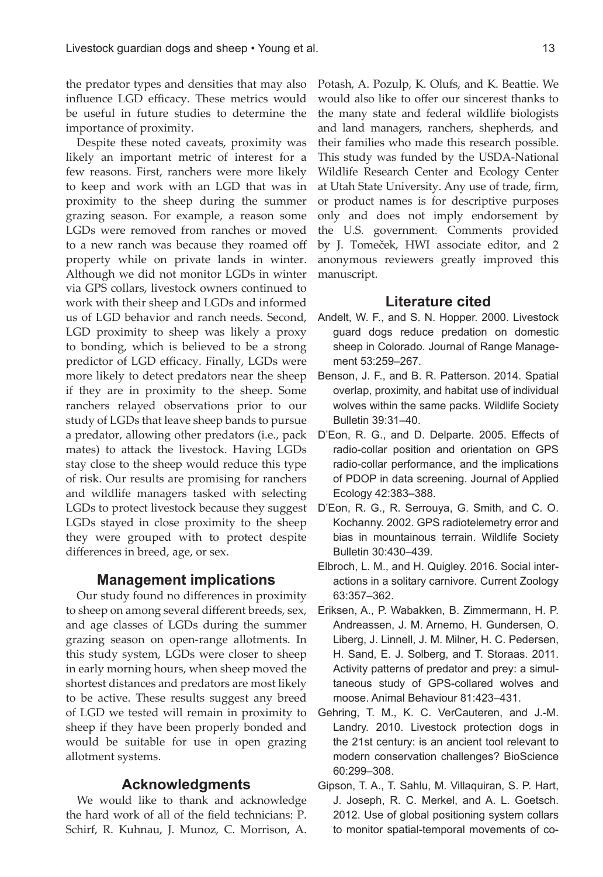the predator types and densities that may also influence LGD efficacy. These metrics would be useful in future studies to determine the importance of proximity.

Despite these noted caveats, proximity was likely an important metric of interest for a few reasons. First, ranchers were more likely to keep and work with an LGD that was in proximity to the sheep during the summer grazing season. For example, a reason some LGDs were removed from ranches or moved to a new ranch was because they roamed off property while on private lands in winter. Although we did not monitor LGDs in winter via GPS collars, livestock owners continued to work with their sheep and LGDs and informed us of LGD behavior and ranch needs. Second, LGD proximity to sheep was likely a proxy to bonding, which is believed to be a strong predictor of LGD efficacy. Finally, LGDs were more likely to detect predators near the sheep if they are in proximity to the sheep. Some ranchers relayed observations prior to our study of LGDs that leave sheep bands to pursue a predator, allowing other predators (i.e., pack mates) to attack the livestock. Having LGDs stay close to the sheep would reduce this type of risk. Our results are promising for ranchers and wildlife managers tasked with selecting LGDs to protect livestock because they suggest LGDs stayed in close proximity to the sheep they were grouped with to protect despite differences in breed, age, or sex.

## **Management implications**

Our study found no differences in proximity to sheep on among several different breeds, sex, and age classes of LGDs during the summer grazing season on open-range allotments. In this study system, LGDs were closer to sheep in early morning hours, when sheep moved the shortest distances and predators are most likely to be active. These results suggest any breed of LGD we tested will remain in proximity to sheep if they have been properly bonded and would be suitable for use in open grazing allotment systems.

## **Acknowledgments**

We would like to thank and acknowledge the hard work of all of the field technicians: P. Schirf, R. Kuhnau, J. Munoz, C. Morrison, A. Potash, A. Pozulp, K. Olufs, and K. Beattie. We would also like to offer our sincerest thanks to the many state and federal wildlife biologists and land managers, ranchers, shepherds, and their families who made this research possible. This study was funded by the USDA-National Wildlife Research Center and Ecology Center at Utah State University. Any use of trade, firm, or product names is for descriptive purposes only and does not imply endorsement by the U.S. government. Comments provided by J. Tomeček, HWI associate editor, and 2 anonymous reviewers greatly improved this manuscript.

### **Literature cited**

- Andelt, W. F., and S. N. Hopper. 2000. Livestock guard dogs reduce predation on domestic sheep in Colorado. Journal of Range Management 53:259–267.
- Benson, J. F., and B. R. Patterson. 2014. Spatial overlap, proximity, and habitat use of individual wolves within the same packs. Wildlife Society Bulletin 39:31–40.
- D'Eon, R. G., and D. Delparte. 2005. Effects of radio-collar position and orientation on GPS radio-collar performance, and the implications of PDOP in data screening. Journal of Applied Ecology 42:383–388.
- D'Eon, R. G., R. Serrouya, G. Smith, and C. O. Kochanny. 2002. GPS radiotelemetry error and bias in mountainous terrain. Wildlife Society Bulletin 30:430–439.
- Elbroch, L. M., and H. Quigley. 2016. Social interactions in a solitary carnivore. Current Zoology 63:357–362.
- Eriksen, A., P. Wabakken, B. Zimmermann, H. P. Andreassen, J. M. Arnemo, H. Gundersen, O. Liberg, J. Linnell, J. M. Milner, H. C. Pedersen, H. Sand, E. J. Solberg, and T. Storaas. 2011. Activity patterns of predator and prey: a simultaneous study of GPS-collared wolves and moose. Animal Behaviour 81:423–431.
- Gehring, T. M., K. C. VerCauteren, and J.-M. Landry. 2010. Livestock protection dogs in the 21st century: is an ancient tool relevant to modern conservation challenges? BioScience 60:299–308.
- Gipson, T. A., T. Sahlu, M. Villaquiran, S. P. Hart, J. Joseph, R. C. Merkel, and A. L. Goetsch. 2012. Use of global positioning system collars to monitor spatial-temporal movements of co-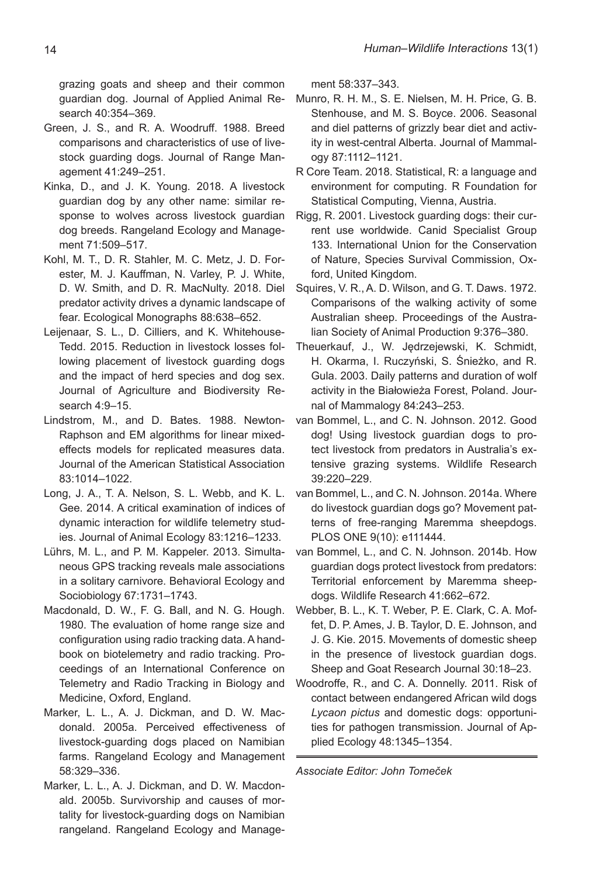grazing goats and sheep and their common guardian dog. Journal of Applied Animal Research 40:354–369.

- Green, J. S., and R. A. Woodruff. 1988. Breed comparisons and characteristics of use of livestock guarding dogs. Journal of Range Management 41:249–251.
- Kinka, D., and J. K. Young. 2018. A livestock guardian dog by any other name: similar response to wolves across livestock guardian dog breeds. Rangeland Ecology and Management 71:509–517.
- Kohl, M. T., D. R. Stahler, M. C. Metz, J. D. Forester, M. J. Kauffman, N. Varley, P. J. White, D. W. Smith, and D. R. MacNulty. 2018. Diel predator activity drives a dynamic landscape of fear. Ecological Monographs 88:638–652.
- Leijenaar, S. L., D. Cilliers, and K. Whitehouse-Tedd. 2015. Reduction in livestock losses following placement of livestock guarding dogs and the impact of herd species and dog sex. Journal of Agriculture and Biodiversity Research 4:9–15.
- Lindstrom, M., and D. Bates. 1988. Newton-Raphson and EM algorithms for linear mixedeffects models for replicated measures data. Journal of the American Statistical Association 83:1014–1022.
- Long, J. A., T. A. Nelson, S. L. Webb, and K. L. Gee. 2014. A critical examination of indices of dynamic interaction for wildlife telemetry studies. Journal of Animal Ecology 83:1216–1233.
- Lührs, M. L., and P. M. Kappeler. 2013. Simultaneous GPS tracking reveals male associations in a solitary carnivore. Behavioral Ecology and Sociobiology 67:1731–1743.
- Macdonald, D. W., F. G. Ball, and N. G. Hough. 1980. The evaluation of home range size and configuration using radio tracking data. A handbook on biotelemetry and radio tracking. Proceedings of an International Conference on Telemetry and Radio Tracking in Biology and Medicine, Oxford, England.
- Marker, L. L., A. J. Dickman, and D. W. Macdonald. 2005a. Perceived effectiveness of livestock-guarding dogs placed on Namibian farms. Rangeland Ecology and Management 58:329–336.
- Marker, L. L., A. J. Dickman, and D. W. Macdonald. 2005b. Survivorship and causes of mortality for livestock-guarding dogs on Namibian rangeland. Rangeland Ecology and Manage-

ment 58:337–343.

- Munro, R. H. M., S. E. Nielsen, M. H. Price, G. B. Stenhouse, and M. S. Boyce. 2006. Seasonal and diel patterns of grizzly bear diet and activity in west-central Alberta. Journal of Mammalogy 87:1112–1121.
- R Core Team. 2018. Statistical, R: a language and environment for computing. R Foundation for Statistical Computing, Vienna, Austria.
- Rigg, R. 2001. Livestock guarding dogs: their current use worldwide. Canid Specialist Group 133. International Union for the Conservation of Nature, Species Survival Commission, Oxford, United Kingdom.
- Squires, V. R., A. D. Wilson, and G. T. Daws. 1972. Comparisons of the walking activity of some Australian sheep. Proceedings of the Australian Society of Animal Production 9:376–380.
- Theuerkauf, J., W. Jędrzejewski, K. Schmidt, H. Okarma, I. Ruczyński, S. Śnieżko, and R. Gula. 2003. Daily patterns and duration of wolf activity in the Białowieża Forest, Poland. Journal of Mammalogy 84:243–253.
- van Bommel, L., and C. N. Johnson. 2012. Good dog! Using livestock guardian dogs to protect livestock from predators in Australia's extensive grazing systems. Wildlife Research 39:220–229.
- van Bommel, L., and C. N. Johnson. 2014a. Where do livestock guardian dogs go? Movement patterns of free-ranging Maremma sheepdogs. PLOS ONE 9(10): e111444.
- van Bommel, L., and C. N. Johnson. 2014b. How guardian dogs protect livestock from predators: Territorial enforcement by Maremma sheepdogs. Wildlife Research 41:662–672.
- Webber, B. L., K. T. Weber, P. E. Clark, C. A. Moffet, D. P. Ames, J. B. Taylor, D. E. Johnson, and J. G. Kie. 2015. Movements of domestic sheep in the presence of livestock guardian dogs. Sheep and Goat Research Journal 30:18–23.
- Woodroffe, R., and C. A. Donnelly. 2011. Risk of contact between endangered African wild dogs *Lycaon pictus* and domestic dogs: opportunities for pathogen transmission. Journal of Applied Ecology 48:1345–1354.

*Associate Editor: John Tomeček*